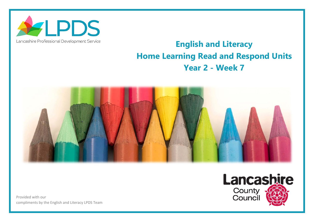

## Lancashire Professional Development Service

## **English and Literacy Home Learning Read and Respond Units Year 2 - Week 7**



Provided with our compliments by the English and Literacy LPDS Team

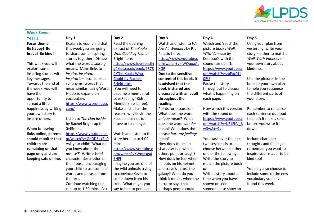

| <b>Week Seven</b>      |                            |                         |                          |                         |                             |  |  |
|------------------------|----------------------------|-------------------------|--------------------------|-------------------------|-----------------------------|--|--|
| <b>Year 2</b>          | Day 1                      | Day 2                   | Day 3                    | Day 4                   | Day 5                       |  |  |
| <b>Focus theme:</b>    | Explain to your child that | Read the opening        | Watch and listen to We   | Watch and 'read' the    | Using your plan from        |  |  |
| Be happy! Be           | this week you are going    | extract of The Koala    | Are All Wonders by R. J. | picture book / Walk     | yesterday, write your       |  |  |
| brave! Be kind!        | to share some inspiring    | Who Could by Rachel     | Palacio here:            | With Vanessa by         | story – either to match $I$ |  |  |
|                        | stories together. Discuss  | Bright here:            | https://www.youtube.c    | Kerascoët with the      | Walk With Vanessa or        |  |  |
| This week you will     | what the word inspiring    | https://www.lovereadin  | om/watch?v=IWOuoaAt      | sound turned off:       | your own story about        |  |  |
| explore some           | means. Make links to       | g4kids.co.uk/book/1378  | <b>XGE</b>               | https://www.youtube.c   | kindness.                   |  |  |
| inspiring stories with | inspire, inspired,         | 4/The-Koala-Who-        | Due to the sensitive     | om/watch?v=zbFpcPJ1     |                             |  |  |
| key messages.          | inspiration, etc. Look at  | Could-by-Rachel-        | content of this book, it | <b>OEU</b>              | Use the pictures in the     |  |  |
| Towards the end of     | synonyms (words that       | Bright.html             | is advised that the      | Pause the story         | book or your own plan       |  |  |
| the week, you will     | mean similar) using Word   | (You will need to       | book is shared and       | throughout to discuss   | to help you sequence        |  |  |
| have the               | Hippo to expand on         | become a member of      | discussed with an adult  | what is happening on    | the different parts of      |  |  |
| opportunity to         | vocabulary.                | LoveReading4Kids.       | throughout the           | each page.              | your story.                 |  |  |
| spread a little        | https://www.wordhippo.     | Membership is free).    | reading.                 |                         |                             |  |  |
| happiness by writing   | com/                       | Make a list of all the  | Points for discussion:   | Now watch this version  | Remember to rehearse        |  |  |
| your own story to      |                            | reasons why Kevin the   | What does the word       | with the sound on:      | each sentence out loud      |  |  |
| inspire others.        | Listen to The Lion Inside  | Koala chose not to      | unique mean? What        | https://www.youtube.c   | to check it makes sense     |  |  |
|                        | by Rachel Bright up to     | move or to change.      | does the word wonder     | om/watch?v=bF1FhV B     | before you write it         |  |  |
| <b>When following</b>  | $0:45$ mins:               |                         | mean? What does the      | w3w&t=9s                | down.                       |  |  |
| links online, parents  | https://www.youtube.co     | Watch and listen to the | phrase hurt my feelings  |                         |                             |  |  |
| should monitor that    | m/watch?v=GlfDD3gYZ 0      | story here up to 4:09   | mean?                    | Your task over the next | Include character           |  |  |
| children are           | Ask your child: 'What do   | mins:                   | How does the main        | two sessions is to      | thoughts and feelings -     |  |  |
| remaining on that      | you know about the         | https://www.youtube.c   | character feel when      | choose between either   | remember you want to        |  |  |
| page only and are      | mouse?' Write a brief      | om/watch?v=Wmgxgat      | others point or laugh?   | one of the following:   | inspire your reader to be   |  |  |
| keeping safe online.   | character description of   | 6HFI                    | How does he feel when    | Write the story to      | kind too!                   |  |  |
|                        | the mouse, encouraging     | Imagine you are one of  | he puts on his helmet    | match the picture book  |                             |  |  |
|                        | your child to use some of  | the wild animals trying | and travels across the   | <b>or</b>               | You may also choose to      |  |  |
|                        | words and phrases from     | to convince Kevin to    | galaxy? What do you      | Write a story about a   | include some of the new     |  |  |
|                        | the text.                  | come down from his      | think it means when the  | time when you have      | vocabulary you have         |  |  |
|                        | Continue watching the      | tree. What might you    | narrator says that       | shown or seen           | found this week.            |  |  |
|                        | clip up to 1:30 mins. Ask  | say to him to persuade  | perhaps people could     | someone else show an    |                             |  |  |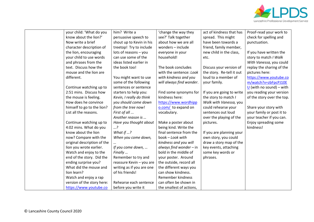

| your child: 'What do you    | him? Write a              | 'change the way they      | act of kindness that has  | Proof-read your work to    |
|-----------------------------|---------------------------|---------------------------|---------------------------|----------------------------|
| know about the lion?'       | persuasive speech to      | see?' Talk together       | spread. This might        | check for spelling and     |
| Now write a brief           | shout up to Kevin in his  | about how we are all      | have been towards a       | punctuation.               |
| character description of    | treetop! Try to include   | wonders - include         | friend, family member,    |                            |
| the lion, encouraging       | lots of reasons - you     | everyone in your          | new child in the class,   | If you have written the    |
| your child to use words     | can use some of the       | household!                | etc.                      | story to match / Walk      |
| and phrases from the        | ideas listed earlier in   |                           |                           | With Vanessa, you could    |
| text. Discuss how the       | the book too!             | The book concludes        | Discuss your version of   | replay the sharing of the  |
| mouse and the lion are      |                           | with the sentence: Look   | the story. Re-tell it out | pictures here:             |
| different.                  | You might want to use     | with kindness and you     | loud to a member of       | https://www.youtube.co     |
|                             | some of the following     | will always find wonder.  | your family.              | m/watch?v=zbFpcPJ10E       |
| Continue watching up to     | sentences or sentence     |                           |                           | $U$ (with no sound) – with |
| 2:51 mins. Discuss how      | starters to help you:     | Find some synonyms for    | If you are going to write | you reading your version   |
| the mouse is feeling.       | Kevin, I really do think  | kindness here:            | the story to match /      | of the story over the top. |
| How does he convince        | you should come down      | https://www.wordhipp      | Walk with Vanessa, you    |                            |
| himself to go to the lion?  | from the tree now!        | o.com/ to expand on       | could rehearse your       | Share your story with      |
| List all the reasons.       | First of all              | vocabulary.               | sentences out loud        | your family or post it to  |
|                             | Another reason is         |                           | over the playing of the   | your teacher if you can.   |
| Continue watching up to     | Have you thought about    | Make a poster about       | pictures.                 | Enjoy spreading some       |
| 4:02 mins. What do you      | ?                         | being kind. Write the     |                           | kindness!                  |
| know about the lion         | What if ?                 | final sentence from the   | If you are planning your  |                            |
| now? Compare with the       | When you come down,       | book - Look with          | own story, you could      |                            |
| original description of the |                           | kindness and you will     | draw a story map of the   |                            |
| lion you wrote earlier.     | If you come down,         | always find wonder $-$ in | key events, attaching     |                            |
| Watch and enjoy to the      | Finally                   | bold in the middle of     | some key words or         |                            |
| end of the story. Did the   | Remember to try and       | your poster. Around       | phrases.                  |                            |
| ending surprise you?        | reassure Kevin - you are  | the outside, record all   |                           |                            |
| What did the mouse and      | writing as if you are one | the different ways you    |                           |                            |
| lion learn?                 | of his friends!           | can show kindness.        |                           |                            |
| Watch and enjoy a rap       |                           | Remember kindness         |                           |                            |
| version of the story here:  | Rehearse each sentence    | can often be shown in     |                           |                            |
| https://www.youtube.co      | before you write it       | the smallest of actions,  |                           |                            |